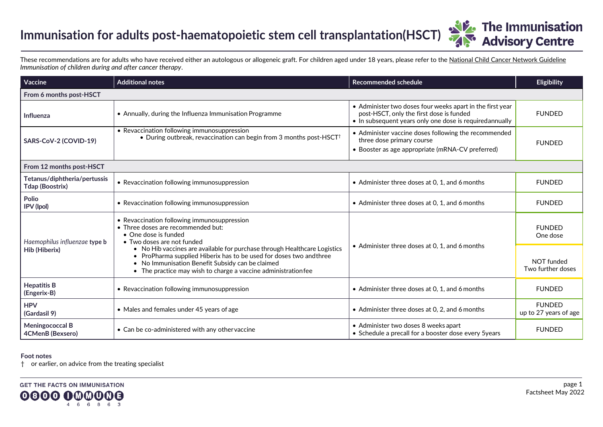## **Immunisation for adults post-haematopoietic stem cell transplantation(HSCT)**

**The Immunisation<br>Advisory Centre** 

These recommendations are for adults who have received either an autologous or allogeneic graft. For children aged under 18 years, please refer to th[e National Child Cancer Network Guideline](https://www.starship.org.nz/guidelines/immunisation-of-children-during-and-after-cancer-therapy) *Immunisation of children during and after cancer therapy*.

| Vaccine                                         | <b>Additional notes</b>                                                                                                                                                                                                                                              | <b>Recommended schedule</b>                                                                                                                                      | Eligibility                            |  |  |
|-------------------------------------------------|----------------------------------------------------------------------------------------------------------------------------------------------------------------------------------------------------------------------------------------------------------------------|------------------------------------------------------------------------------------------------------------------------------------------------------------------|----------------------------------------|--|--|
| From 6 months post-HSCT                         |                                                                                                                                                                                                                                                                      |                                                                                                                                                                  |                                        |  |  |
| <b>Influenza</b>                                | • Annually, during the Influenza Immunisation Programme                                                                                                                                                                                                              | • Administer two doses four weeks apart in the first year<br>post-HSCT, only the first dose is funded<br>• In subsequent years only one dose is requiredannually | <b>FUNDED</b>                          |  |  |
| SARS-CoV-2 (COVID-19)                           | • Revaccination following immunosuppression<br>• During outbreak, revaccination can begin from 3 months post-HSCT <sup>†</sup>                                                                                                                                       | • Administer vaccine doses following the recommended<br>three dose primary course<br>• Booster as age appropriate (mRNA-CV preferred)                            | <b>FUNDED</b>                          |  |  |
| From 12 months post-HSCT                        |                                                                                                                                                                                                                                                                      |                                                                                                                                                                  |                                        |  |  |
| Tetanus/diphtheria/pertussis<br>Tdap (Boostrix) | • Revaccination following immunosuppression                                                                                                                                                                                                                          | • Administer three doses at 0, 1, and 6 months                                                                                                                   | <b>FUNDED</b>                          |  |  |
| <b>Polio</b><br><b>IPV</b> (Ipol)               | • Revaccination following immunosuppression                                                                                                                                                                                                                          | • Administer three doses at 0, 1, and 6 months                                                                                                                   | <b>FUNDED</b>                          |  |  |
| Haemophilus influenzae type b<br>Hib (Hiberix)  | • Revaccination following immunosuppression<br>• Three doses are recommended but:<br>$\bullet$ One dose is funded<br>• Two doses are not funded                                                                                                                      | • Administer three doses at 0, 1, and 6 months                                                                                                                   | <b>FUNDED</b><br>One dose              |  |  |
|                                                 | • No Hib vaccines are available for purchase through Healthcare Logistics<br>ProPharma supplied Hiberix has to be used for doses two and three<br>• No Immunisation Benefit Subsidy can be claimed<br>• The practice may wish to charge a vaccine administration fee |                                                                                                                                                                  | NOT funded<br>Two further doses        |  |  |
| <b>Hepatitis B</b><br>(Engerix-B)               | • Revaccination following immunosuppression                                                                                                                                                                                                                          | • Administer three doses at 0, 1, and 6 months                                                                                                                   | <b>FUNDED</b>                          |  |  |
| <b>HPV</b><br>(Gardasil 9)                      | • Males and females under 45 years of age                                                                                                                                                                                                                            | • Administer three doses at 0, 2, and 6 months                                                                                                                   | <b>FUNDED</b><br>up to 27 years of age |  |  |
| <b>Meningococcal B</b><br>4CMenB (Bexsero)      | • Can be co-administered with any other vaccine                                                                                                                                                                                                                      | • Administer two doses 8 weeks apart<br>• Schedule a precall for a booster dose every 5years                                                                     | <b>FUNDED</b>                          |  |  |

## **Foot notes**

† or earlier, on advice from the treating specialist